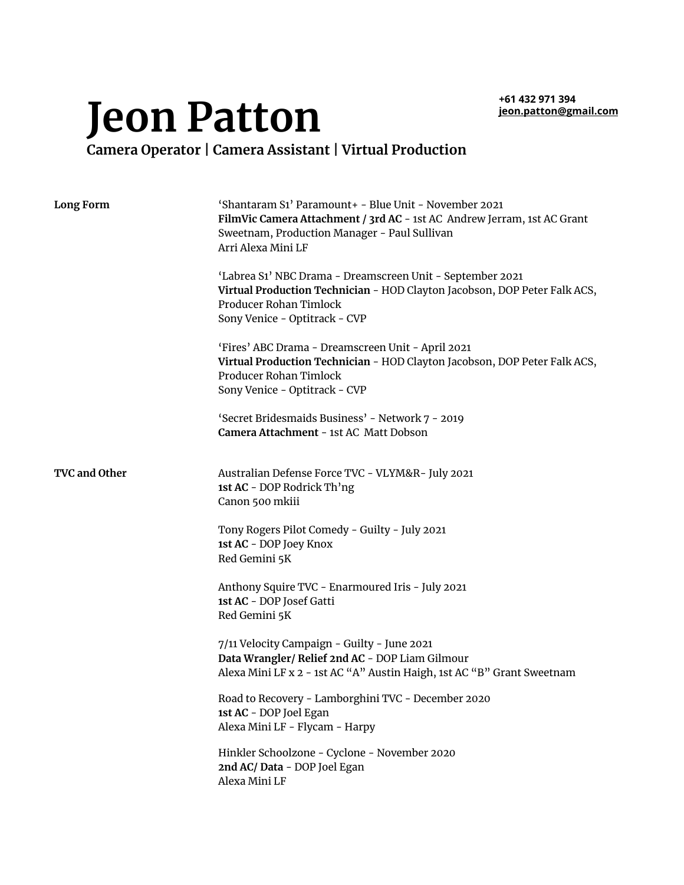**+61 432 971 394 [jeon.patton@gmail.com](mailto:jeon.patton@gmail.com)**

## **Jeon Patton**

**Camera Operator | Camera Assistant | Virtual Production**

| <b>Long Form</b>     | 'Shantaram S1' Paramount+ - Blue Unit - November 2021<br>FilmVic Camera Attachment / 3rd AC - 1st AC Andrew Jerram, 1st AC Grant<br>Sweetnam, Production Manager - Paul Sullivan<br>Arri Alexa Mini LF |
|----------------------|--------------------------------------------------------------------------------------------------------------------------------------------------------------------------------------------------------|
|                      | 'Labrea S1' NBC Drama - Dreamscreen Unit - September 2021<br>Virtual Production Technician - HOD Clayton Jacobson, DOP Peter Falk ACS,<br>Producer Rohan Timlock<br>Sony Venice - Optitrack - CVP      |
|                      | 'Fires' ABC Drama - Dreamscreen Unit - April 2021<br>Virtual Production Technician - HOD Clayton Jacobson, DOP Peter Falk ACS,<br>Producer Rohan Timlock<br>Sony Venice - Optitrack - CVP              |
|                      | 'Secret Bridesmaids Business' - Network 7 - 2019<br>Camera Attachment - 1st AC Matt Dobson                                                                                                             |
| <b>TVC and Other</b> | Australian Defense Force TVC - VLYM&R- July 2021<br>1st AC - DOP Rodrick Th'ng<br>Canon 500 mkiii                                                                                                      |
|                      | Tony Rogers Pilot Comedy - Guilty - July 2021<br>1st AC - DOP Joey Knox<br>Red Gemini 5K                                                                                                               |
|                      | Anthony Squire TVC - Enarmoured Iris - July 2021<br>1st AC - DOP Josef Gatti<br>Red Gemini 5K                                                                                                          |
|                      | 7/11 Velocity Campaign - Guilty - June 2021<br>Data Wrangler/Relief 2nd AC - DOP Liam Gilmour<br>Alexa Mini LF x 2 - 1st AC "A" Austin Haigh, 1st AC "B" Grant Sweetnam                                |
|                      | Road to Recovery - Lamborghini TVC - December 2020<br>1st AC - DOP Joel Egan<br>Alexa Mini LF - Flycam - Harpy                                                                                         |
|                      | Hinkler Schoolzone - Cyclone - November 2020<br>2nd AC/Data - DOP Joel Egan<br>Alexa Mini LF                                                                                                           |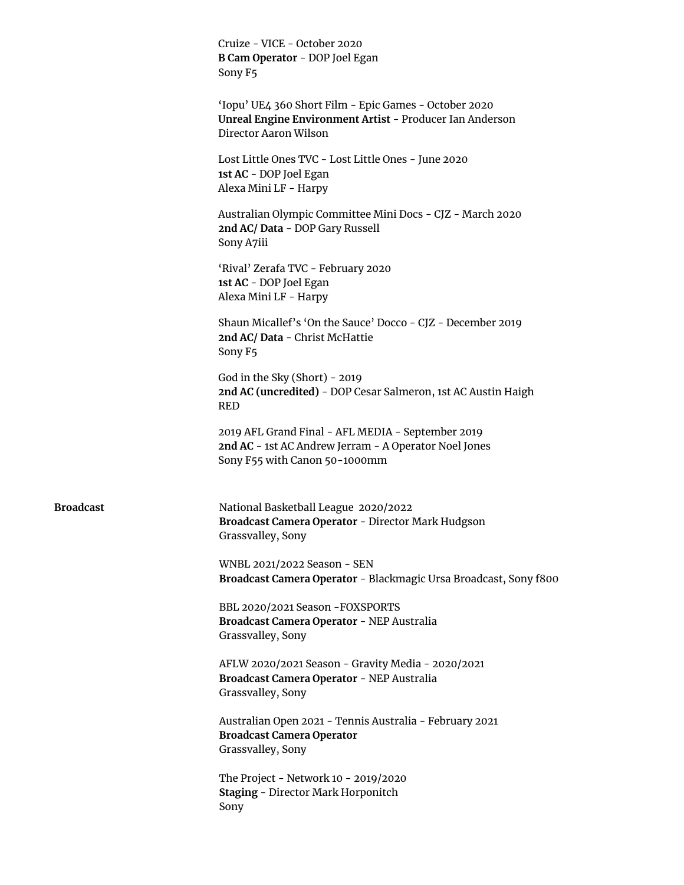|                  | Cruize - VICE - October 2020<br>B Cam Operator - DOP Joel Egan<br>Sony F5                                                                   |
|------------------|---------------------------------------------------------------------------------------------------------------------------------------------|
|                  | 'Iopu' UE4 360 Short Film - Epic Games - October 2020<br>Unreal Engine Environment Artist - Producer Ian Anderson<br>Director Aaron Wilson  |
|                  | Lost Little Ones TVC - Lost Little Ones - June 2020<br>1st AC - DOP Joel Egan<br>Alexa Mini LF - Harpy                                      |
|                  | Australian Olympic Committee Mini Docs - CJZ - March 2020<br>2nd AC/Data - DOP Gary Russell<br>Sony A7iii                                   |
|                  | 'Rival' Zerafa TVC - February 2020<br>1st AC - DOP Joel Egan<br>Alexa Mini LF - Harpy                                                       |
|                  | Shaun Micallef's 'On the Sauce' Docco - CJZ - December 2019<br>2nd AC/ Data - Christ McHattie<br>Sony F5                                    |
|                  | God in the Sky (Short) - 2019<br>2nd AC (uncredited) - DOP Cesar Salmeron, 1st AC Austin Haigh<br><b>RED</b>                                |
|                  | 2019 AFL Grand Final - AFL MEDIA - September 2019<br>2nd AC - 1st AC Andrew Jerram - A Operator Noel Jones<br>Sony F55 with Canon 50-1000mm |
| <b>Broadcast</b> | National Basketball League 2020/2022<br>Broadcast Camera Operator - Director Mark Hudgson<br>Grassvalley, Sony                              |
|                  | WNBL 2021/2022 Season - SEN<br>Broadcast Camera Operator - Blackmagic Ursa Broadcast, Sony f800                                             |
|                  | BBL 2020/2021 Season - FOXSPORTS<br>Broadcast Camera Operator - NEP Australia<br>Grassvalley, Sony                                          |
|                  | AFLW 2020/2021 Season - Gravity Media - 2020/2021<br>Broadcast Camera Operator - NEP Australia<br>Grassvalley, Sony                         |
|                  | Australian Open 2021 - Tennis Australia - February 2021<br><b>Broadcast Camera Operator</b><br>Grassvalley, Sony                            |
|                  | The Project - Network 10 - 2019/2020<br><b>Staging - Director Mark Horponitch</b><br>Sony                                                   |
|                  |                                                                                                                                             |